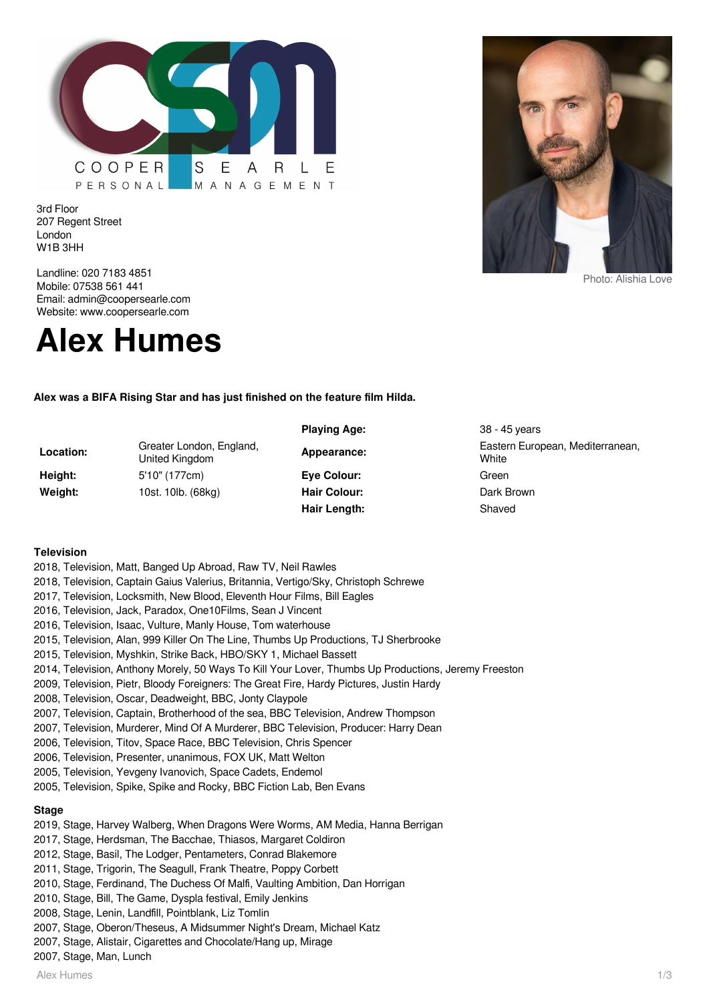

3rd Floor 207 Regent Street London W1B 3HH

Landline: 020 7183 4851 Mobile: 07538 561 441 Email: admin@coopersearle.com Website: www.coopersearle.com



**Alex was a BIFA Rising Star and has just finished on the feature film Hilda.**

| Location: | Greater London, England,<br>United Kingdom | Appearance:         |
|-----------|--------------------------------------------|---------------------|
| Height:   | 5'10" (177cm)                              | Eye Colour:         |
| Weight:   | 10st. 10lb. (68kg)                         | <b>Hair Colour:</b> |
|           |                                            |                     |

**Playing Age:** 38 - 45 years **Appearance:** Eastern European, Mediterranean, **White Eye Colour:** Green **Dark Brown** Hair Length: Shaved

## **Television**

- 2018, Television, Matt, Banged Up Abroad, Raw TV, Neil Rawles
- 2018, Television, Captain Gaius Valerius, Britannia, Vertigo/Sky, Christoph Schrewe
- 2017, Television, Locksmith, New Blood, Eleventh Hour Films, Bill Eagles
- 2016, Television, Jack, Paradox, One10Films, Sean J Vincent
- 2016, Television, Isaac, Vulture, Manly House, Tom waterhouse
- 2015, Television, Alan, 999 Killer On The Line, Thumbs Up Productions, TJ Sherbrooke
- 2015, Television, Myshkin, Strike Back, HBO/SKY 1, Michael Bassett
- 2014, Television, Anthony Morely, 50 Ways To Kill Your Lover, Thumbs Up Productions, Jeremy Freeston
- 2009, Television, Pietr, Bloody Foreigners: The Great Fire, Hardy Pictures, Justin Hardy
- 2008, Television, Oscar, Deadweight, BBC, Jonty Claypole
- 2007, Television, Captain, Brotherhood of the sea, BBC Television, Andrew Thompson
- 2007, Television, Murderer, Mind Of A Murderer, BBC Television, Producer: Harry Dean
- 2006, Television, Titov, Space Race, BBC Television, Chris Spencer
- 2006, Television, Presenter, unanimous, FOX UK, Matt Welton
- 2005, Television, Yevgeny Ivanovich, Space Cadets, Endemol
- 2005, Television, Spike, Spike and Rocky, BBC Fiction Lab, Ben Evans

# **Stage**

- 2019, Stage, Harvey Walberg, When Dragons Were Worms, AM Media, Hanna Berrigan
- 2017, Stage, Herdsman, The Bacchae, Thiasos, Margaret Coldiron
- 2012, Stage, Basil, The Lodger, Pentameters, Conrad Blakemore
- 2011, Stage, Trigorin, The Seagull, Frank Theatre, Poppy Corbett
- 2010, Stage, Ferdinand, The Duchess Of Malfi, Vaulting Ambition, Dan Horrigan
- 2010, Stage, Bill, The Game, Dyspla festival, Emily Jenkins
- 2008, Stage, Lenin, Landfill, Pointblank, Liz Tomlin
- 2007, Stage, Oberon/Theseus, A Midsummer Night's Dream, Michael Katz
- 2007, Stage, Alistair, Cigarettes and Chocolate/Hang up, Mirage
- 2007, Stage, Man, Lunch

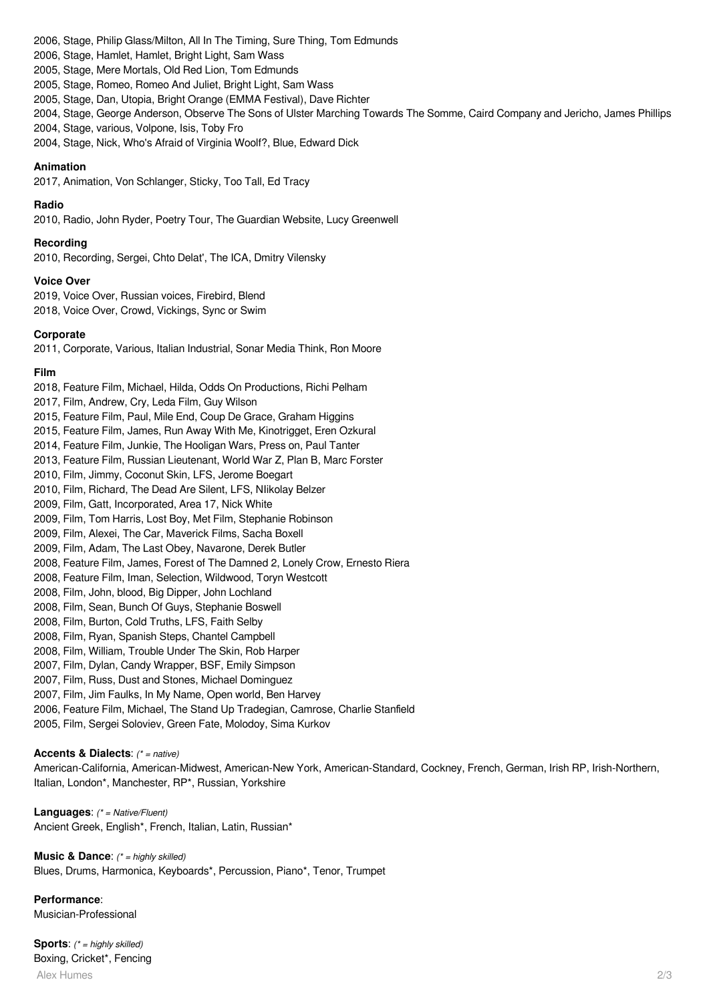2006, Stage, Philip Glass/Milton, All In The Timing, Sure Thing, Tom Edmunds

2006, Stage, Hamlet, Hamlet, Bright Light, Sam Wass

2005, Stage, Mere Mortals, Old Red Lion, Tom Edmunds

2005, Stage, Romeo, Romeo And Juliet, Bright Light, Sam Wass

2005, Stage, Dan, Utopia, Bright Orange (EMMA Festival), Dave Richter

2004, Stage, George Anderson, Observe The Sons of Ulster Marching Towards The Somme, Caird Company and Jericho, James Phillips

2004, Stage, various, Volpone, Isis, Toby Fro

2004, Stage, Nick, Who's Afraid of Virginia Woolf?, Blue, Edward Dick

## **Animation**

2017, Animation, Von Schlanger, Sticky, Too Tall, Ed Tracy

## **Radio**

2010, Radio, John Ryder, Poetry Tour, The Guardian Website, Lucy Greenwell

## **Recording**

2010, Recording, Sergei, Chto Delat', The ICA, Dmitry Vilensky

## **Voice Over**

2019, Voice Over, Russian voices, Firebird, Blend 2018, Voice Over, Crowd, Vickings, Sync or Swim

## **Corporate**

2011, Corporate, Various, Italian Industrial, Sonar Media Think, Ron Moore

#### **Film**

2018, Feature Film, Michael, Hilda, Odds On Productions, Richi Pelham 2017, Film, Andrew, Cry, Leda Film, Guy Wilson 2015, Feature Film, Paul, Mile End, Coup De Grace, Graham Higgins 2015, Feature Film, James, Run Away With Me, Kinotrigget, Eren Ozkural 2014, Feature Film, Junkie, The Hooligan Wars, Press on, Paul Tanter 2013, Feature Film, Russian Lieutenant, World War Z, Plan B, Marc Forster 2010, Film, Jimmy, Coconut Skin, LFS, Jerome Boegart 2010, Film, Richard, The Dead Are Silent, LFS, NIikolay Belzer 2009, Film, Gatt, Incorporated, Area 17, Nick White 2009, Film, Tom Harris, Lost Boy, Met Film, Stephanie Robinson 2009, Film, Alexei, The Car, Maverick Films, Sacha Boxell 2009, Film, Adam, The Last Obey, Navarone, Derek Butler 2008, Feature Film, James, Forest of The Damned 2, Lonely Crow, Ernesto Riera 2008, Feature Film, Iman, Selection, Wildwood, Toryn Westcott 2008, Film, John, blood, Big Dipper, John Lochland 2008, Film, Sean, Bunch Of Guys, Stephanie Boswell 2008, Film, Burton, Cold Truths, LFS, Faith Selby 2008, Film, Ryan, Spanish Steps, Chantel Campbell 2008, Film, William, Trouble Under The Skin, Rob Harper 2007, Film, Dylan, Candy Wrapper, BSF, Emily Simpson 2007, Film, Russ, Dust and Stones, Michael Dominguez 2007, Film, Jim Faulks, In My Name, Open world, Ben Harvey 2006, Feature Film, Michael, The Stand Up Tradegian, Camrose, Charlie Stanfield 2005, Film, Sergei Soloviev, Green Fate, Molodoy, Sima Kurkov

#### **Accents & Dialects**: (\* = native)

American-California, American-Midwest, American-New York, American-Standard, Cockney, French, German, Irish RP, Irish-Northern, Italian, London\*, Manchester, RP\*, Russian, Yorkshire

**Languages**: (\* = Native/Fluent) Ancient Greek, English\*, French, Italian, Latin, Russian\*

**Music & Dance:** (\* = highly skilled) Blues, Drums, Harmonica, Keyboards\*, Percussion, Piano\*, Tenor, Trumpet

**Performance**: Musician-Professional

Alex Humes 2/3 **Sports:** (\* = highly skilled) Boxing, Cricket\*, Fencing